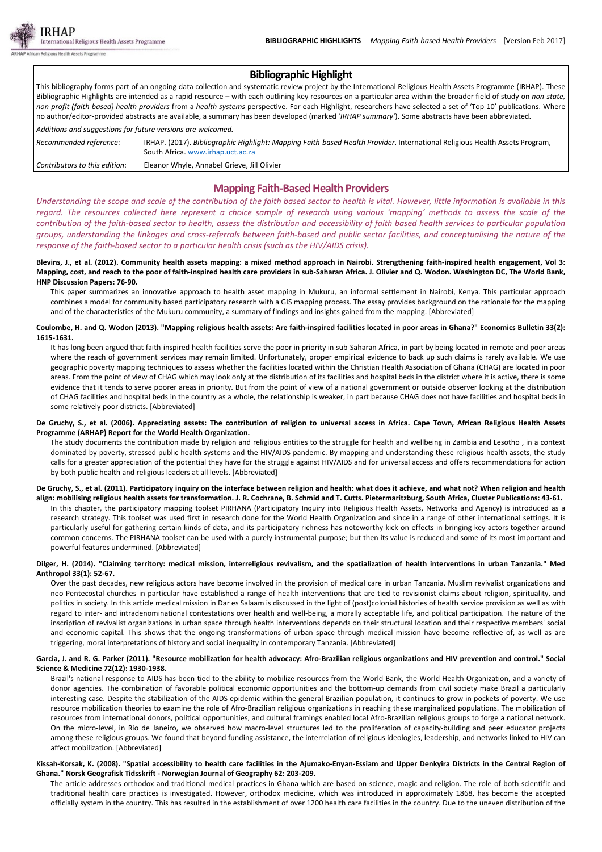

# **Bibliographic Highlight**

This bibliography forms part of an ongoing data collection and systematic review project by the International Religious Health Assets Programme (IRHAP). These Bibliographic Highlights are intended as a rapid resource – with each outlining key resources on a particular area within the broader field of study on *non‐state,* non-profit (faith-based) health providers from a health systems perspective. For each Highlight, researchers have selected a set of 'Top 10' publications. Where no author/editor‐provided abstracts are available, a summary has been developed (marked '*IRHAP summary'*). Some abstracts have been abbreviated. *Additions and suggestions for future versions are welcomed.*

*Recommended reference*: IRHAP. (2017). *Bibliographic Highlight: Mapping Faith‐based Health Provider*. International Religious Health Assets Program, South Africa. www.irhap.uct.ac.za *Contributors to this edition*: Eleanor Whyle, Annabel Grieve, Jill Olivier

# **Mapping Faith‐BasedHealth Providers**

Understanding the scope and scale of the contribution of the faith based sector to health is vital. However, little information is available in this regard. The resources collected here represent a choice sample of research using various 'mapping' methods to assess the scale of the contribution of the faith-based sector to health, assess the distribution and accessibility of faith based health services to particular population groups, understanding the linkages and cross-referrals between faith-based and public sector facilities, and conceptualising the nature of the *response of the faith‐based sector to a particular health crisis (such as the HIV/AIDS crisis).*

### Blevins, J., et al. (2012). Community health assets mapping: a mixed method approach in Nairobi. Strengthening faith-inspired health engagement, Vol 3: Mapping, cost, and reach to the poor of faith-inspired health care providers in sub-Saharan Africa. J. Olivier and Q. Wodon. Washington DC, The World Bank, **HNP Discussion Papers: 76‐90.**

This paper summarizes an innovative approach to health asset mapping in Mukuru, an informal settlement in Nairobi, Kenya. This particular approach combines a model for community based participatory research with a GIS mapping process. The essay provides background on the rationale for the mapping and of the characteristics of the Mukuru community, a summary of findings and insights gained from the mapping. [Abbreviated]

### Coulombe, H. and Q. Wodon (2013). "Mapping religious health assets: Are faith-inspired facilities located in poor areas in Ghana?" Economics Bulletin 33(2): **1615‐1631.**

It has long been argued that faith-inspired health facilities serve the poor in priority in sub-Saharan Africa, in part by being located in remote and poor areas where the reach of government services may remain limited. Unfortunately, proper empirical evidence to back up such claims is rarely available. We use geographic poverty mapping techniques to assess whether the facilities located within the Christian Health Association of Ghana (CHAG) are located in poor areas. From the point of view of CHAG which may look only at the distribution of its facilities and hospital beds in the district where it is active, there is some evidence that it tends to serve poorer areas in priority. But from the point of view of a national government or outside observer looking at the distribution of CHAG facilities and hospital beds in the country as a whole, the relationship is weaker, in part because CHAG does not have facilities and hospital beds in some relatively poor districts. [Abbreviated]

#### De Gruchy, S., et al. (2006). Appreciating assets: The contribution of religion to universal access in Africa. Cape Town, African Religious Health Assets **Programme (ARHAP) Report for the World Health Organization.**

The study documents the contribution made by religion and religious entities to the struggle for health and wellbeing in Zambia and Lesotho , in a context dominated by poverty, stressed public health systems and the HIV/AIDS pandemic. By mapping and understanding these religious health assets, the study calls for a greater appreciation of the potential they have for the struggle against HIV/AIDS and for universal access and offers recommendations for action by both public health and religious leaders at all levels. [Abbreviated]

#### De Gruchy, S., et al. (2011). Participatory inquiry on the interface between religion and health: what does it achieve, and what not? When religion and health align: mobilising religious health assets for transformation. J. R. Cochrane, B. Schmid and T. Cutts. Pietermaritzburg, South Africa, Cluster Publications: 43-61.

In this chapter, the participatory mapping toolset PIRHANA (Participatory Inquiry into Religious Health Assets, Networks and Agency) is introduced as a research strategy. This toolset was used first in research done for the World Health Organization and since in a range of other international settings. It is particularly useful for gathering certain kinds of data, and its participatory richness has noteworthy kick-on effects in bringing key actors together around common concerns. The PIRHANA toolset can be used with a purely instrumental purpose; but then its value is reduced and some of its most important and powerful features undermined. [Abbreviated]

### Dilger, H. (2014). "Claiming territory: medical mission, interreligious revivalism, and the spatialization of health interventions in urban Tanzania." Med **Anthropol 33(1): 52‐67.**

Over the past decades, new religious actors have become involved in the provision of medical care in urban Tanzania. Muslim revivalist organizations and neo-Pentecostal churches in particular have established a range of health interventions that are tied to revisionist claims about religion, spirituality, and politics in society. In this article medical mission in Dar es Salaam is discussed in the light of (post)colonial histories of health service provision as well as with regard to inter‐ and intradenominational contestations over health and well‐being, a morally acceptable life, and political participation. The nature of the inscription of revivalist organizations in urban space through health interventions depends on their structural location and their respective members' social and economic capital. This shows that the ongoing transformations of urban space through medical mission have become reflective of, as well as are triggering, moral interpretations of history and social inequality in contemporary Tanzania. [Abbreviated]

### Garcia, J. and R. G. Parker (2011). "Resource mobilization for health advocacy: Afro-Brazilian religious organizations and HIV prevention and control." Social **Science & Medicine 72(12): 1930‐1938.**

Brazil's national response to AIDS has been tied to the ability to mobilize resources from the World Bank, the World Health Organization, and a variety of donor agencies. The combination of favorable political economic opportunities and the bottom‐up demands from civil society make Brazil a particularly interesting case. Despite the stabilization of the AIDS epidemic within the general Brazilian population, it continues to grow in pockets of poverty. We use resource mobilization theories to examine the role of Afro‐Brazilian religious organizations in reaching these marginalized populations. The mobilization of resources from international donors, political opportunities, and cultural framings enabled local Afro‐Brazilian religious groups to forge a national network. On the micro-level, in Rio de Janeiro, we observed how macro-level structures led to the proliferation of capacity-building and peer educator projects among these religious groups. We found that beyond funding assistance, the interrelation of religious ideologies, leadership, and networks linked to HIV can affect mobilization. [Abbreviated]

### Kissah-Korsak, K. (2008). "Spatial accessibility to health care facilities in the Ajumako-Enyan-Essiam and Upper Denkyira Districts in the Central Region of **Ghana." Norsk Geografisk Tidsskrift ‐ Norwegian Journal of Geography 62: 203‐209.**

The article addresses orthodox and traditional medical practices in Ghana which are based on science, magic and religion. The role of both scientific and traditional health care practices is investigated. However, orthodox medicine, which was introduced in approximately 1868, has become the accepted officially system in the country. This has resulted in the establishment of over 1200 health care facilities in the country. Due to the uneven distribution of the